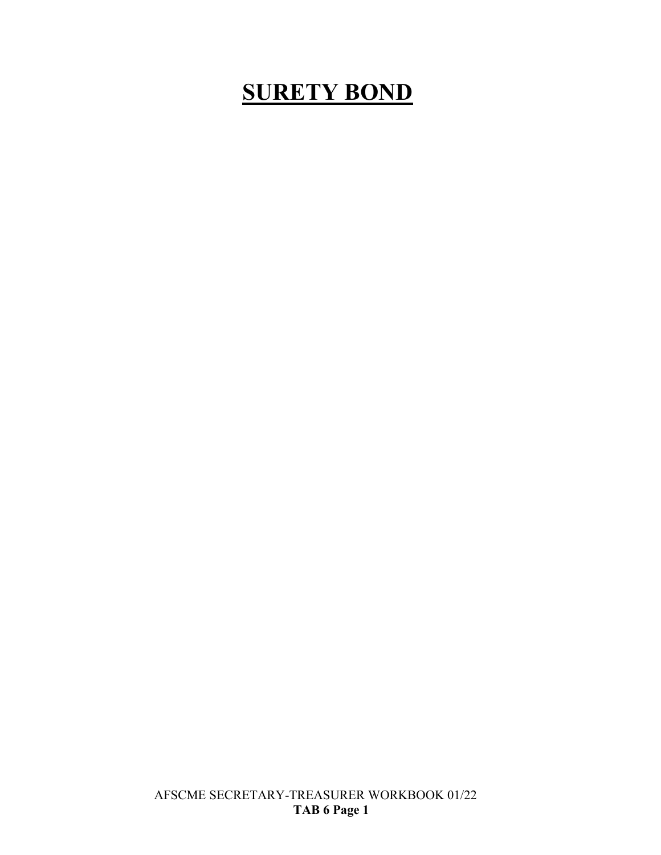# **SURETY BOND**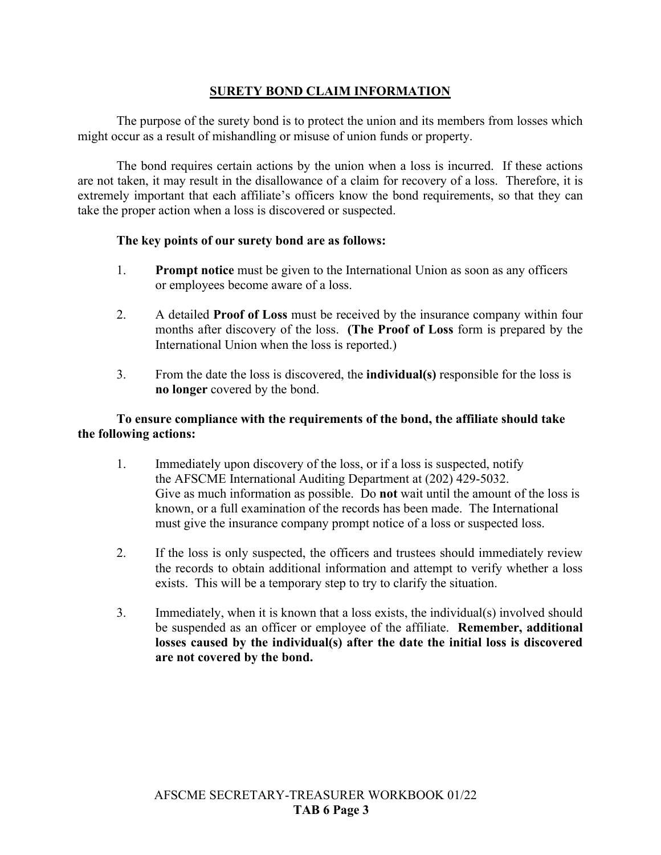# **SURETY BOND CLAIM INFORMATION**

The purpose of the surety bond is to protect the union and its members from losses which might occur as a result of mishandling or misuse of union funds or property.

The bond requires certain actions by the union when a loss is incurred. If these actions are not taken, it may result in the disallowance of a claim for recovery of a loss. Therefore, it is extremely important that each affiliate's officers know the bond requirements, so that they can take the proper action when a loss is discovered or suspected.

# **The key points of our surety bond are as follows:**

- 1. **Prompt notice** must be given to the International Union as soon as any officers or employees become aware of a loss.
- 2. A detailed **Proof of Loss** must be received by the insurance company within four months after discovery of the loss. **(The Proof of Loss** form is prepared by the International Union when the loss is reported.)
- 3. From the date the loss is discovered, the **individual(s)** responsible for the loss is **no longer** covered by the bond.

# **To ensure compliance with the requirements of the bond, the affiliate should take the following actions:**

- 1. Immediately upon discovery of the loss, or if a loss is suspected, notify the AFSCME International Auditing Department at (202) 429-5032. Give as much information as possible. Do **not** wait until the amount of the loss is known, or a full examination of the records has been made. The International must give the insurance company prompt notice of a loss or suspected loss.
- 2. If the loss is only suspected, the officers and trustees should immediately review the records to obtain additional information and attempt to verify whether a loss exists. This will be a temporary step to try to clarify the situation.
- 3. Immediately, when it is known that a loss exists, the individual(s) involved should be suspended as an officer or employee of the affiliate. **Remember, additional losses caused by the individual(s) after the date the initial loss is discovered are not covered by the bond.**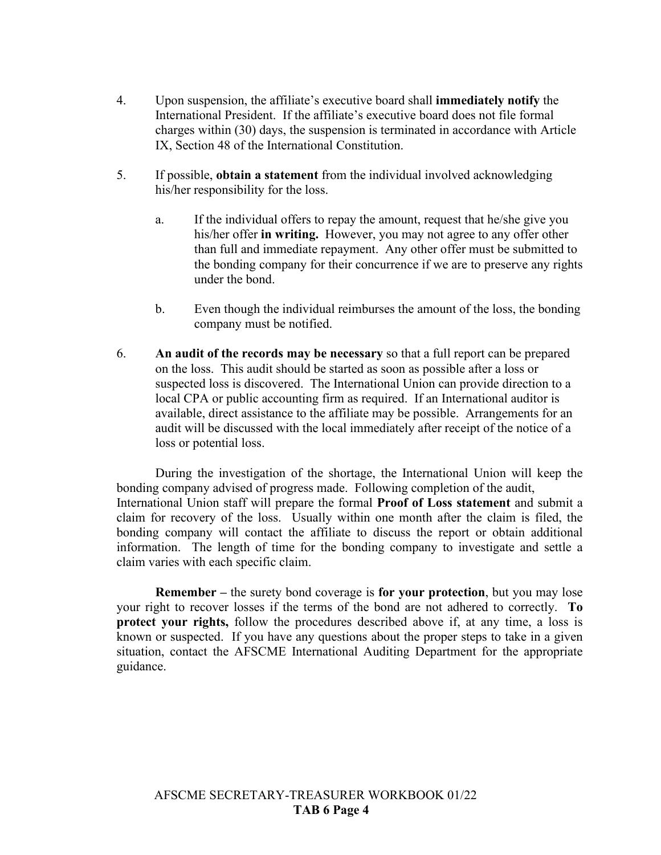- 4. Upon suspension, the affiliate's executive board shall **immediately notify** the International President. If the affiliate's executive board does not file formal charges within (30) days, the suspension is terminated in accordance with Article IX, Section 48 of the International Constitution.
- 5. If possible, **obtain a statement** from the individual involved acknowledging his/her responsibility for the loss.
	- a. If the individual offers to repay the amount, request that he/she give you his/her offer **in writing.** However, you may not agree to any offer other than full and immediate repayment. Any other offer must be submitted to the bonding company for their concurrence if we are to preserve any rights under the bond.
	- b. Even though the individual reimburses the amount of the loss, the bonding company must be notified.
- 6. **An audit of the records may be necessary** so that a full report can be prepared on the loss. This audit should be started as soon as possible after a loss or suspected loss is discovered. The International Union can provide direction to a local CPA or public accounting firm as required. If an International auditor is available, direct assistance to the affiliate may be possible. Arrangements for an audit will be discussed with the local immediately after receipt of the notice of a loss or potential loss.

During the investigation of the shortage, the International Union will keep the bonding company advised of progress made. Following completion of the audit, International Union staff will prepare the formal **Proof of Loss statement** and submit a claim for recovery of the loss. Usually within one month after the claim is filed, the bonding company will contact the affiliate to discuss the report or obtain additional information. The length of time for the bonding company to investigate and settle a claim varies with each specific claim.

**Remember –** the surety bond coverage is **for your protection**, but you may lose your right to recover losses if the terms of the bond are not adhered to correctly. **To protect your rights,** follow the procedures described above if, at any time, a loss is known or suspected. If you have any questions about the proper steps to take in a given situation, contact the AFSCME International Auditing Department for the appropriate guidance.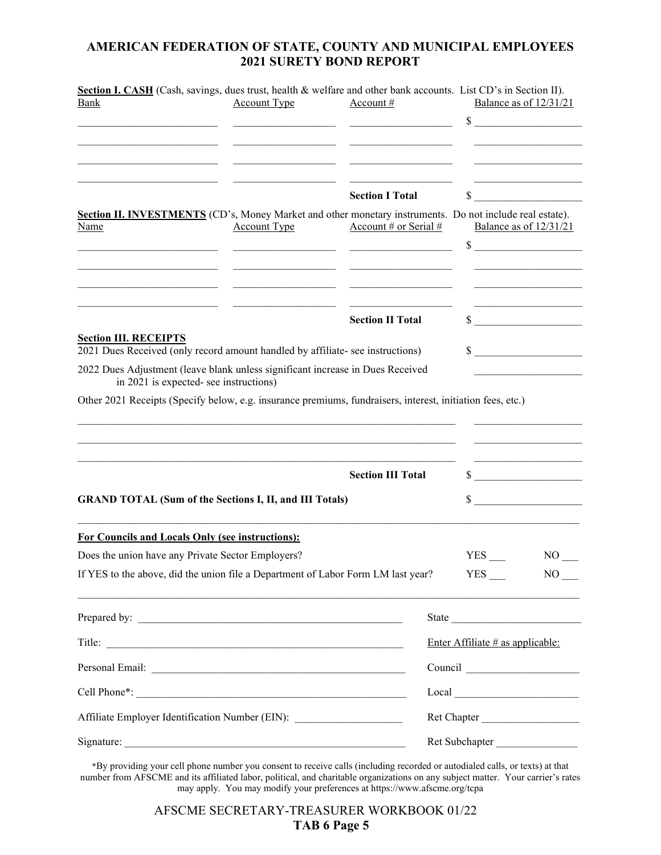# **AMERICAN FEDERATION OF STATE, COUNTY AND MUNICIPAL EMPLOYEES 2021 SURETY BOND REPORT**

|                                                                                                                          |                     | Section I. CASH (Cash, savings, dues trust, health & welfare and other bank accounts. List CD's in Section II).                                                                                                                      |                                                                                                                                                                                                                                                                                                                                                                                                                                                                                              |                          |  |
|--------------------------------------------------------------------------------------------------------------------------|---------------------|--------------------------------------------------------------------------------------------------------------------------------------------------------------------------------------------------------------------------------------|----------------------------------------------------------------------------------------------------------------------------------------------------------------------------------------------------------------------------------------------------------------------------------------------------------------------------------------------------------------------------------------------------------------------------------------------------------------------------------------------|--------------------------|--|
| <b>Bank</b>                                                                                                              | <b>Account Type</b> | Account #                                                                                                                                                                                                                            | Balance as of 12/31/21                                                                                                                                                                                                                                                                                                                                                                                                                                                                       |                          |  |
|                                                                                                                          |                     |                                                                                                                                                                                                                                      |                                                                                                                                                                                                                                                                                                                                                                                                                                                                                              | $\sim$                   |  |
|                                                                                                                          |                     |                                                                                                                                                                                                                                      |                                                                                                                                                                                                                                                                                                                                                                                                                                                                                              |                          |  |
|                                                                                                                          |                     |                                                                                                                                                                                                                                      |                                                                                                                                                                                                                                                                                                                                                                                                                                                                                              |                          |  |
|                                                                                                                          |                     | <u> 1989 - Johann John Harry Barbara, martin a shekara 1989 - 1989 - 1989 - 1989 - 1989 - 1989 - 1989 - 1989 - 1</u>                                                                                                                 |                                                                                                                                                                                                                                                                                                                                                                                                                                                                                              |                          |  |
|                                                                                                                          |                     | <b>Section I Total</b>                                                                                                                                                                                                               |                                                                                                                                                                                                                                                                                                                                                                                                                                                                                              | $\sim$                   |  |
| Section II. INVESTMENTS (CD's, Money Market and other monetary instruments. Do not include real estate).<br>Name         | <b>Account Type</b> | Account # or Serial #                                                                                                                                                                                                                |                                                                                                                                                                                                                                                                                                                                                                                                                                                                                              | Balance as of $12/31/21$ |  |
|                                                                                                                          |                     |                                                                                                                                                                                                                                      |                                                                                                                                                                                                                                                                                                                                                                                                                                                                                              | $\sim$                   |  |
|                                                                                                                          |                     | <u> 1989 - Johann Harry Harry Harry Harry Harry Harry Harry Harry Harry Harry Harry Harry Harry Harry Harry Harry Harry Harry Harry Harry Harry Harry Harry Harry Harry Harry Harry Harry Harry Harry Harry Harry Harry Harry Ha</u> |                                                                                                                                                                                                                                                                                                                                                                                                                                                                                              |                          |  |
|                                                                                                                          |                     |                                                                                                                                                                                                                                      |                                                                                                                                                                                                                                                                                                                                                                                                                                                                                              |                          |  |
|                                                                                                                          |                     |                                                                                                                                                                                                                                      |                                                                                                                                                                                                                                                                                                                                                                                                                                                                                              |                          |  |
|                                                                                                                          |                     | <b>Section II Total</b>                                                                                                                                                                                                              |                                                                                                                                                                                                                                                                                                                                                                                                                                                                                              | $\sim$                   |  |
| <b>Section III. RECEIPTS</b>                                                                                             |                     |                                                                                                                                                                                                                                      |                                                                                                                                                                                                                                                                                                                                                                                                                                                                                              |                          |  |
| 2021 Dues Received (only record amount handled by affiliate- see instructions)                                           |                     |                                                                                                                                                                                                                                      | $\sim$                                                                                                                                                                                                                                                                                                                                                                                                                                                                                       |                          |  |
| 2022 Dues Adjustment (leave blank unless significant increase in Dues Received<br>in 2021 is expected- see instructions) |                     |                                                                                                                                                                                                                                      |                                                                                                                                                                                                                                                                                                                                                                                                                                                                                              |                          |  |
|                                                                                                                          |                     |                                                                                                                                                                                                                                      |                                                                                                                                                                                                                                                                                                                                                                                                                                                                                              |                          |  |
| Other 2021 Receipts (Specify below, e.g. insurance premiums, fundraisers, interest, initiation fees, etc.)               |                     |                                                                                                                                                                                                                                      |                                                                                                                                                                                                                                                                                                                                                                                                                                                                                              |                          |  |
|                                                                                                                          |                     |                                                                                                                                                                                                                                      |                                                                                                                                                                                                                                                                                                                                                                                                                                                                                              |                          |  |
|                                                                                                                          |                     |                                                                                                                                                                                                                                      |                                                                                                                                                                                                                                                                                                                                                                                                                                                                                              |                          |  |
|                                                                                                                          |                     |                                                                                                                                                                                                                                      |                                                                                                                                                                                                                                                                                                                                                                                                                                                                                              |                          |  |
| <b>Section III Total</b>                                                                                                 |                     |                                                                                                                                                                                                                                      | $\sim$                                                                                                                                                                                                                                                                                                                                                                                                                                                                                       |                          |  |
| <b>GRAND TOTAL (Sum of the Sections I, II, and III Totals)</b>                                                           |                     |                                                                                                                                                                                                                                      |                                                                                                                                                                                                                                                                                                                                                                                                                                                                                              | $\sim$                   |  |
|                                                                                                                          |                     |                                                                                                                                                                                                                                      |                                                                                                                                                                                                                                                                                                                                                                                                                                                                                              |                          |  |
| For Councils and Locals Only (see instructions):                                                                         |                     |                                                                                                                                                                                                                                      |                                                                                                                                                                                                                                                                                                                                                                                                                                                                                              |                          |  |
| Does the union have any Private Sector Employers?                                                                        |                     |                                                                                                                                                                                                                                      |                                                                                                                                                                                                                                                                                                                                                                                                                                                                                              | NO                       |  |
| If YES to the above, did the union file a Department of Labor Form LM last year?                                         |                     |                                                                                                                                                                                                                                      | $YES$ <sub>---</sub>                                                                                                                                                                                                                                                                                                                                                                                                                                                                         | $NO$ <sub>—</sub>        |  |
|                                                                                                                          |                     |                                                                                                                                                                                                                                      | State                                                                                                                                                                                                                                                                                                                                                                                                                                                                                        |                          |  |
|                                                                                                                          |                     | Enter Affiliate $#$ as applicable:                                                                                                                                                                                                   |                                                                                                                                                                                                                                                                                                                                                                                                                                                                                              |                          |  |
|                                                                                                                          |                     |                                                                                                                                                                                                                                      |                                                                                                                                                                                                                                                                                                                                                                                                                                                                                              |                          |  |
|                                                                                                                          |                     |                                                                                                                                                                                                                                      | $\begin{tabular}{ c c c } \hline \multicolumn{3}{ c }{\textbf{Local}} & \multicolumn{3}{ c }{\textbf{Local}}\\ \hline \multicolumn{3}{ c }{\textbf{Local}} & \multicolumn{3}{ c }{\textbf{Local}}\\ \hline \multicolumn{3}{ c }{\textbf{Local}} & \multicolumn{3}{ c }{\textbf{Local}}\\ \hline \multicolumn{3}{ c }{\textbf{Local}} & \multicolumn{3}{ c }{\textbf{Local}}\\ \hline \multicolumn{3}{ c }{\textbf{Local}} & \multicolumn{3}{ c }{\textbf{Local}}\\ \hline \multicolumn{3}{ $ |                          |  |
| Affiliate Employer Identification Number (EIN): ________________________________                                         |                     | Ret Chapter                                                                                                                                                                                                                          |                                                                                                                                                                                                                                                                                                                                                                                                                                                                                              |                          |  |
|                                                                                                                          |                     |                                                                                                                                                                                                                                      | Ret Subchapter                                                                                                                                                                                                                                                                                                                                                                                                                                                                               |                          |  |

**\***By providing your cell phone number you consent to receive calls (including recorded or autodialed calls, or texts) at that number from AFSCME and its affiliated labor, political, and charitable organizations on any subject matter. Your carrier's rates may apply. You may modify your preferences at https://www.afscme.org/tcpa